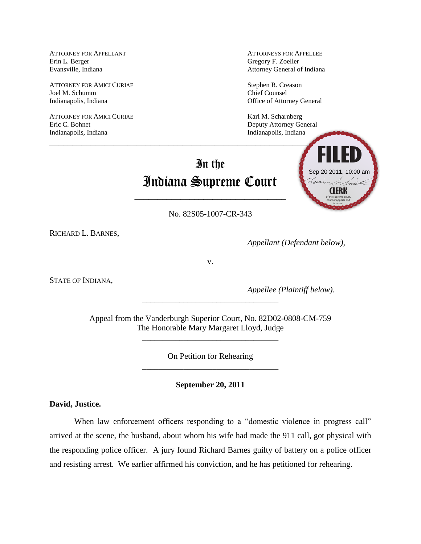Erin L. Berger Gregory F. Zoeller

ATTORNEY FOR AMICI CURIAE Stephen R. Creason Joel M. Schumm Chief Counsel Indianapolis, Indiana Office of Attorney General

ATTORNEY FOR AMICI CURIAE Karl M. Scharnberg Eric C. Bohnet **Deputy Attorney General** Indianapolis, Indiana<br>
Indianapolis, Indiana

ATTORNEY FOR APPELLANT ATTORNEYS FOR APPELLEE Evansville, Indiana Attorney General of Indiana

**FILED**

## In the Indiana Supreme Court

 $\blacksquare$  . The contract of the contract of the contract of the contract of the contract of the contract of the contract of the contract of the contract of the contract of the contract of the contract of the contract of the

No. 82S05-1007-CR-343

\_\_\_\_\_\_\_\_\_\_\_\_\_\_\_\_\_\_\_\_\_\_\_\_\_\_\_\_\_\_\_\_\_

RICHARD L. BARNES,

*Appellant (Defendant below),*

**CLERK**

of the supreme court, court of appeals and

Sep 20 2011, 10:00 am

v.

STATE OF INDIANA,

*Appellee (Plaintiff below)*.

Appeal from the Vanderburgh Superior Court, No. 82D02-0808-CM-759 The Honorable Mary Margaret Lloyd, Judge

\_\_\_\_\_\_\_\_\_\_\_\_\_\_\_\_\_\_\_\_\_\_\_\_\_\_\_\_\_\_\_\_\_

\_\_\_\_\_\_\_\_\_\_\_\_\_\_\_\_\_\_\_\_\_\_\_\_\_\_\_\_\_\_\_\_\_

On Petition for Rehearing \_\_\_\_\_\_\_\_\_\_\_\_\_\_\_\_\_\_\_\_\_\_\_\_\_\_\_\_\_\_\_\_\_

**September 20, 2011**

**David, Justice.**

When law enforcement officers responding to a "domestic violence in progress call" arrived at the scene, the husband, about whom his wife had made the 911 call, got physical with the responding police officer. A jury found Richard Barnes guilty of battery on a police officer and resisting arrest. We earlier affirmed his conviction, and he has petitioned for rehearing.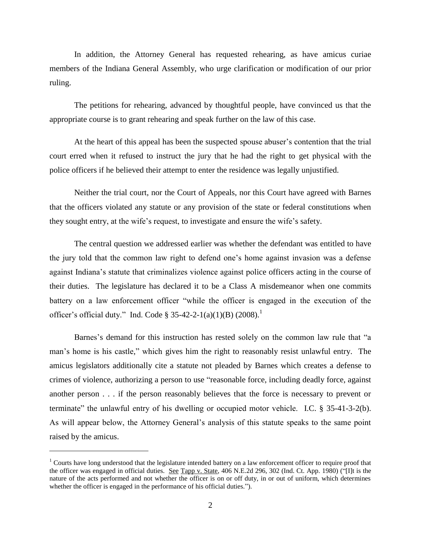In addition, the Attorney General has requested rehearing, as have amicus curiae members of the Indiana General Assembly, who urge clarification or modification of our prior ruling.

The petitions for rehearing, advanced by thoughtful people, have convinced us that the appropriate course is to grant rehearing and speak further on the law of this case.

At the heart of this appeal has been the suspected spouse abuser's contention that the trial court erred when it refused to instruct the jury that he had the right to get physical with the police officers if he believed their attempt to enter the residence was legally unjustified.

 Neither the trial court, nor the Court of Appeals, nor this Court have agreed with Barnes that the officers violated any statute or any provision of the state or federal constitutions when they sought entry, at the wife's request, to investigate and ensure the wife's safety.

The central question we addressed earlier was whether the defendant was entitled to have the jury told that the common law right to defend one's home against invasion was a defense against Indiana's statute that criminalizes violence against police officers acting in the course of their duties. The legislature has declared it to be a Class A misdemeanor when one commits battery on a law enforcement officer "while the officer is engaged in the execution of the officer's official duty." Ind. Code § 35-42-2-1(a)(1)(B)  $(2008)$ .<sup>1</sup>

Barnes's demand for this instruction has rested solely on the common law rule that "a man's home is his castle," which gives him the right to reasonably resist unlawful entry. The amicus legislators additionally cite a statute not pleaded by Barnes which creates a defense to crimes of violence, authorizing a person to use "reasonable force, including deadly force, against another person . . . if the person reasonably believes that the force is necessary to prevent or terminate" the unlawful entry of his dwelling or occupied motor vehicle. I.C. § 35-41-3-2(b). As will appear below, the Attorney General's analysis of this statute speaks to the same point raised by the amicus.

 $\overline{a}$ 

 $<sup>1</sup>$  Courts have long understood that the legislature intended battery on a law enforcement officer to require proof that</sup> the officer was engaged in official duties. See Tapp v. State, 406 N.E.2d 296, 302 (Ind. Ct. App. 1980) ("Ilt is the nature of the acts performed and not whether the officer is on or off duty, in or out of uniform, which determines whether the officer is engaged in the performance of his official duties.").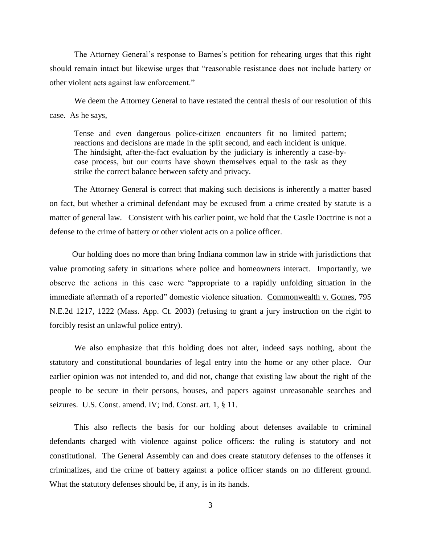The Attorney General's response to Barnes's petition for rehearing urges that this right should remain intact but likewise urges that "reasonable resistance does not include battery or other violent acts against law enforcement."

We deem the Attorney General to have restated the central thesis of our resolution of this case. As he says,

Tense and even dangerous police-citizen encounters fit no limited pattern; reactions and decisions are made in the split second, and each incident is unique. The hindsight, after-the-fact evaluation by the judiciary is inherently a case-bycase process, but our courts have shown themselves equal to the task as they strike the correct balance between safety and privacy.

The Attorney General is correct that making such decisions is inherently a matter based on fact, but whether a criminal defendant may be excused from a crime created by statute is a matter of general law. Consistent with his earlier point, we hold that the Castle Doctrine is not a defense to the crime of battery or other violent acts on a police officer.

Our holding does no more than bring Indiana common law in stride with jurisdictions that value promoting safety in situations where police and homeowners interact. Importantly, we observe the actions in this case were "appropriate to a rapidly unfolding situation in the immediate aftermath of a reported" domestic violence situation. Commonwealth v. Gomes, 795 N.E.2d 1217, 1222 (Mass. App. Ct. 2003) (refusing to grant a jury instruction on the right to forcibly resist an unlawful police entry).

We also emphasize that this holding does not alter, indeed says nothing, about the statutory and constitutional boundaries of legal entry into the home or any other place. Our earlier opinion was not intended to, and did not, change that existing law about the right of the people to be secure in their persons, houses, and papers against unreasonable searches and seizures. U.S. Const. amend. IV; Ind. Const. art. 1, § 11.

This also reflects the basis for our holding about defenses available to criminal defendants charged with violence against police officers: the ruling is statutory and not constitutional. The General Assembly can and does create statutory defenses to the offenses it criminalizes, and the crime of battery against a police officer stands on no different ground. What the statutory defenses should be, if any, is in its hands.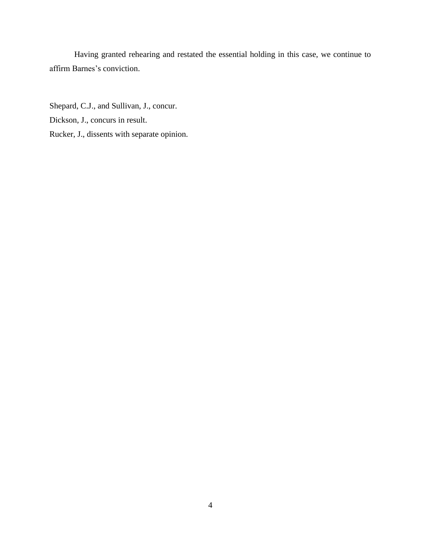Having granted rehearing and restated the essential holding in this case, we continue to affirm Barnes's conviction.

Shepard, C.J., and Sullivan, J., concur. Dickson, J., concurs in result. Rucker, J., dissents with separate opinion.